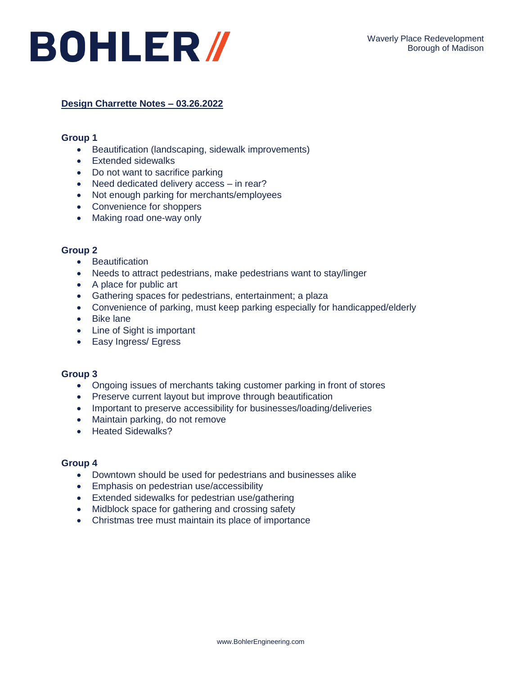

## **Design Charrette Notes – 03.26.2022**

## **Group 1**

- Beautification (landscaping, sidewalk improvements)
- Extended sidewalks
- Do not want to sacrifice parking
- Need dedicated delivery access in rear?
- Not enough parking for merchants/employees
- Convenience for shoppers
- Making road one-way only

## **Group 2**

- Beautification
- Needs to attract pedestrians, make pedestrians want to stay/linger
- A place for public art
- Gathering spaces for pedestrians, entertainment; a plaza
- Convenience of parking, must keep parking especially for handicapped/elderly
- Bike lane
- Line of Sight is important
- Easy Ingress/ Egress

#### **Group 3**

- Ongoing issues of merchants taking customer parking in front of stores
- Preserve current layout but improve through beautification
- Important to preserve accessibility for businesses/loading/deliveries
- Maintain parking, do not remove
- Heated Sidewalks?

#### **Group 4**

- Downtown should be used for pedestrians and businesses alike
- Emphasis on pedestrian use/accessibility
- Extended sidewalks for pedestrian use/gathering
- Midblock space for gathering and crossing safety
- Christmas tree must maintain its place of importance